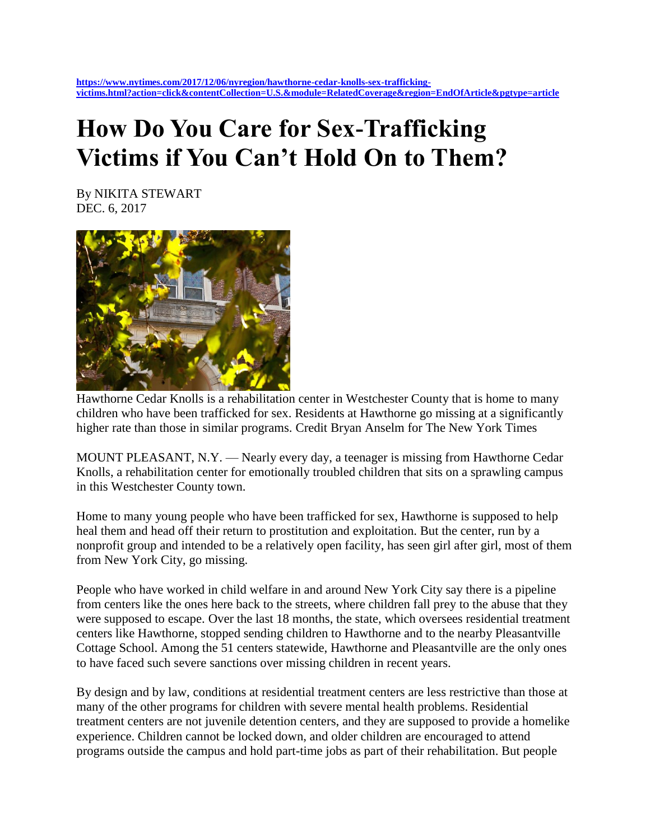## **How Do You Care for Sex-Trafficking Victims if You Can't Hold On to Them?**

By [NIKITA STEWART](https://www.nytimes.com/by/nikita-stewart) DEC. 6, 2017



Hawthorne Cedar Knolls is a rehabilitation center in Westchester County that is home to many children who have been trafficked for sex. Residents at Hawthorne go missing at a significantly higher rate than those in similar programs. Credit Bryan Anselm for The New York Times

MOUNT PLEASANT, N.Y. — Nearly every day, a teenager is missing from Hawthorne Cedar Knolls, a rehabilitation center for emotionally troubled children that sits on a sprawling campus in this Westchester County town.

Home to many young people who have been trafficked for sex, Hawthorne is supposed to help heal them and head off their return to prostitution and exploitation. But the center, run by a nonprofit group and intended to be a relatively open facility, has seen girl after girl, most of them from New York City, go missing.

People who have worked in child welfare in and around New York City say there is a pipeline from centers like the ones here back to the streets, where children fall prey to the abuse that they were supposed to escape. Over the last 18 months, the state, which oversees residential treatment centers like Hawthorne, stopped sending children to Hawthorne and to the nearby Pleasantville Cottage School. Among the 51 centers statewide, Hawthorne and Pleasantville are the only ones to have faced such severe sanctions over missing children in recent years.

By design and by law, conditions at residential treatment centers are less restrictive than those at many of the other programs for children with severe mental health problems. Residential treatment centers are not juvenile detention centers, and they are supposed to provide a homelike experience. Children cannot be locked down, and older children are encouraged to attend programs outside the campus and hold part-time jobs as part of their rehabilitation. But people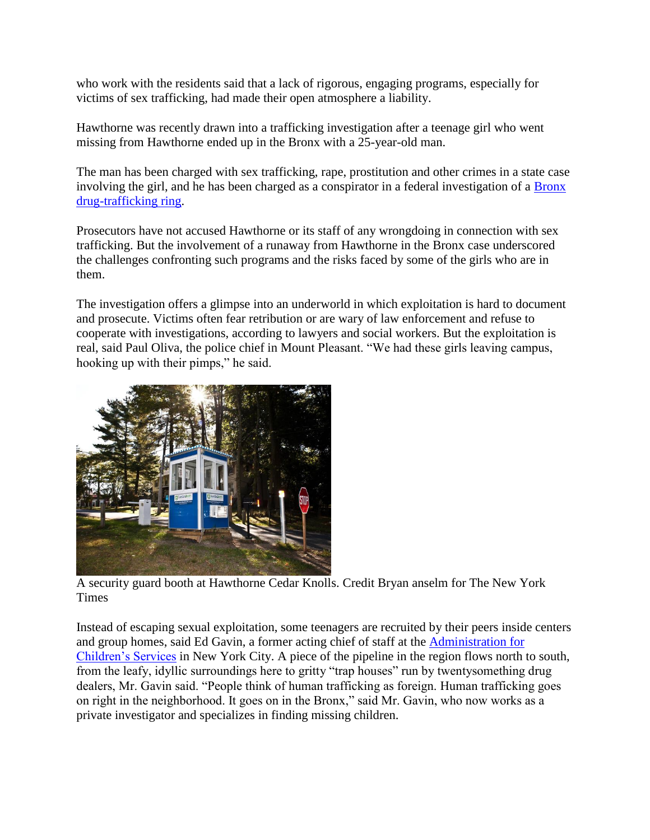who work with the residents said that a lack of rigorous, engaging programs, especially for victims of sex trafficking, had made their open atmosphere a liability.

Hawthorne was recently drawn into a trafficking investigation after a teenage girl who went missing from Hawthorne ended up in the Bronx with a 25-year-old man.

The man has been charged with sex trafficking, rape, prostitution and other crimes in a state case involving the girl, and he has been charged as a conspirator in a federal investigation of a [Bronx](https://www.justice.gov/usao-sdny/pr/members-bronx-drug-trafficking-organization-charged-manhattan-federal-court-narcotics)  [drug-trafficking ring.](https://www.justice.gov/usao-sdny/pr/members-bronx-drug-trafficking-organization-charged-manhattan-federal-court-narcotics)

Prosecutors have not accused Hawthorne or its staff of any wrongdoing in connection with sex trafficking. But the involvement of a runaway from Hawthorne in the Bronx case underscored the challenges confronting such programs and the risks faced by some of the girls who are in them.

The investigation offers a glimpse into an underworld in which exploitation is hard to document and prosecute. Victims often fear retribution or are wary of law enforcement and refuse to cooperate with investigations, according to lawyers and social workers. But the exploitation is real, said Paul Oliva, the police chief in Mount Pleasant. "We had these girls leaving campus, hooking up with their pimps," he said.



A security guard booth at Hawthorne Cedar Knolls. Credit Bryan anselm for The New York Times

Instead of escaping sexual exploitation, some teenagers are recruited by their peers inside centers and group homes, said Ed Gavin, a former acting chief of staff at the [Administration for](http://www1.nyc.gov/site/acs/index.page)  [Children's Services](http://www1.nyc.gov/site/acs/index.page) in New York City. A piece of the pipeline in the region flows north to south, from the leafy, idyllic surroundings here to gritty "trap houses" run by twentysomething drug dealers, Mr. Gavin said. "People think of human trafficking as foreign. Human trafficking goes on right in the neighborhood. It goes on in the Bronx," said Mr. Gavin, who now works as a private investigator and specializes in finding missing children.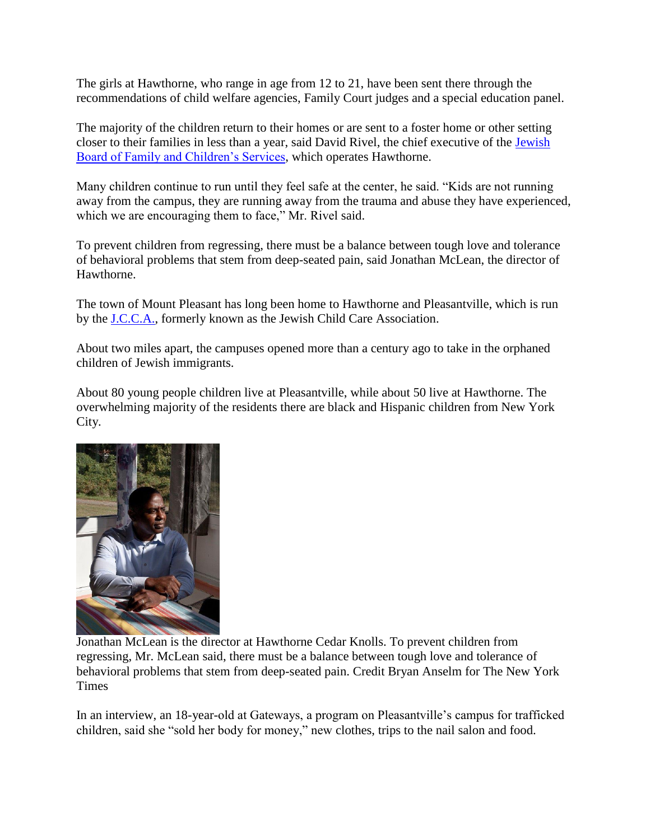The girls at Hawthorne, who range in age from 12 to 21, have been sent there through the recommendations of child welfare agencies, Family Court judges and a special education panel.

The majority of the children return to their homes or are sent to a foster home or other setting closer to their families in less than a year, said David Rivel, the chief executive of the [Jewish](https://jewishboard.org/)  [Board of Family and Children's Services,](https://jewishboard.org/) which operates Hawthorne.

Many children continue to run until they feel safe at the center, he said. "Kids are not running away from the campus, they are running away from the trauma and abuse they have experienced, which we are encouraging them to face," Mr. Rivel said.

To prevent children from regressing, there must be a balance between tough love and tolerance of behavioral problems that stem from deep-seated pain, said Jonathan McLean, the director of Hawthorne.

The town of Mount Pleasant has long been home to Hawthorne and Pleasantville, which is run by the [J.C.C.A.,](https://www.jccany.org/) formerly known as the Jewish Child Care Association.

About two miles apart, the campuses opened more than a century ago to take in the orphaned children of Jewish immigrants.

About 80 young people children live at Pleasantville, while about 50 live at Hawthorne. The overwhelming majority of the residents there are black and Hispanic children from New York City.



Jonathan McLean is the director at Hawthorne Cedar Knolls. To prevent children from regressing, Mr. McLean said, there must be a balance between tough love and tolerance of behavioral problems that stem from deep-seated pain. Credit Bryan Anselm for The New York **Times** 

In an interview, an 18-year-old at Gateways, a program on Pleasantville's campus for trafficked children, said she "sold her body for money," new clothes, trips to the nail salon and food.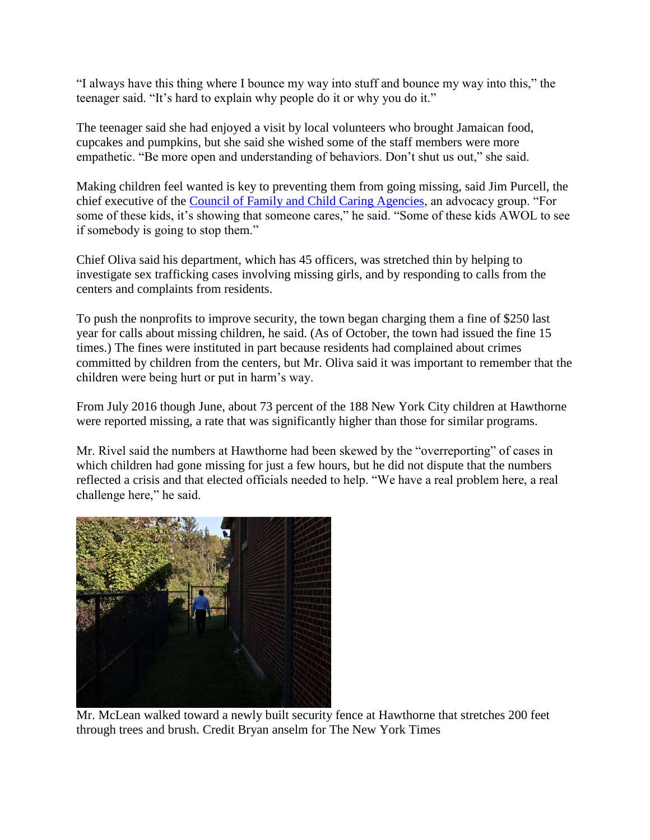"I always have this thing where I bounce my way into stuff and bounce my way into this," the teenager said. "It's hard to explain why people do it or why you do it."

The teenager said she had enjoyed a visit by local volunteers who brought Jamaican food, cupcakes and pumpkins, but she said she wished some of the staff members were more empathetic. "Be more open and understanding of behaviors. Don't shut us out," she said.

Making children feel wanted is key to preventing them from going missing, said Jim Purcell, the chief executive of the [Council of Family and Child Caring Agencies,](http://www.cofcca.org/) an advocacy group. "For some of these kids, it's showing that someone cares," he said. "Some of these kids AWOL to see if somebody is going to stop them."

Chief Oliva said his department, which has 45 officers, was stretched thin by helping to investigate sex trafficking cases involving missing girls, and by responding to calls from the centers and complaints from residents.

To push the nonprofits to improve security, the town began charging them a fine of \$250 last year for calls about missing children, he said. (As of October, the town had issued the fine 15 times.) The fines were instituted in part because residents had complained about crimes committed by children from the centers, but Mr. Oliva said it was important to remember that the children were being hurt or put in harm's way.

From July 2016 though June, about 73 percent of the 188 New York City children at Hawthorne were reported missing, a rate that was significantly higher than those for similar programs.

Mr. Rivel said the numbers at Hawthorne had been skewed by the "overreporting" of cases in which children had gone missing for just a few hours, but he did not dispute that the numbers reflected a crisis and that elected officials needed to help. "We have a real problem here, a real challenge here," he said.



Mr. McLean walked toward a newly built security fence at Hawthorne that stretches 200 feet through trees and brush. Credit Bryan anselm for The New York Times